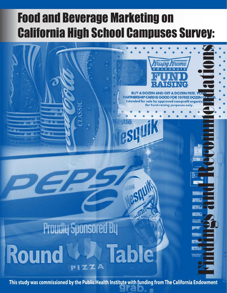# Food and Beverage Marketing on California High School Campuses Survey:

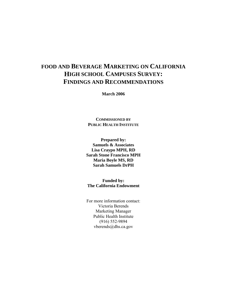# **FOOD AND BEVERAGE MARKETING ON CALIFORNIA HIGH SCHOOL CAMPUSES SURVEY: FINDINGS AND RECOMMENDATIONS**

**March 2006** 

**COMMISSIONED BY PUBLIC HEALTH INSTITUTE**

**Prepared by: Samuels & Associates Lisa Craypo MPH, RD Sarah Stone Francisco MPH Maria Boyle MS, RD Sarah Samuels DrPH** 

**Funded by: The California Endowment** 

For more information contact: Victoria Berends Marketing Manager Public Health Institute (916) 552-9894 vberends@dhs.ca.gov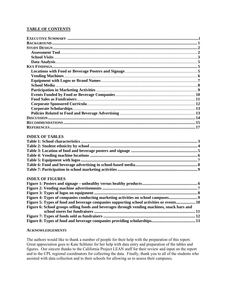#### **TABLE OF CONTENTS**

#### **INDEX OF TABLES**

#### **INDEX OF FIGURES**

| Figure 4: Types of companies conducting marketing activities on school campuses9             |  |
|----------------------------------------------------------------------------------------------|--|
| Figure 5: Types of food and beverage companies supporting school activities or events 10     |  |
| Figure 6: School groups selling foods and beverages through vending machines, snack bars and |  |
|                                                                                              |  |
|                                                                                              |  |
|                                                                                              |  |

#### **ACKNOWLEDGEMENTS**

The authors would like to thank a number of people for their help with the preparation of this report. Great appreciation goes to Kate Schluter for her help with data entry and preparation of the tables and figures. Our sincere thanks to the California Project LEAN staff for their review and input on the report and to the CPL regional coordinators for collecting the data. Finally, thank you to all of the students who assisted with data collection and to their schools for allowing us to assess their campuses.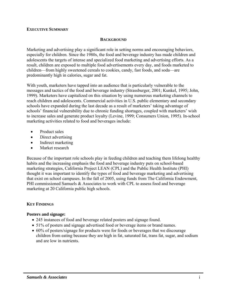#### **EXECUTIVE SUMMARY**

#### **BACKGROUND**

Marketing and advertising play a significant role in setting norms and encouraging behaviors, especially for children. Since the 1980s, the food and beverage industry has made children and adolescents the targets of intense and specialized food marketing and advertising efforts. As a result, children are exposed to multiple food advertisements every day, and foods marketed to children—from highly sweetened cereals to cookies, candy, fast foods, and soda—are predominantly high in calories, sugar and fat.

With youth, marketers have tapped into an audience that is particularly vulnerable to the messages and tactics of the food and beverage industry (Strassburger, 2001; Kunkel, 1995; John, 1999). Marketers have capitalized on this situation by using numerous marketing channels to reach children and adolescents. Commercial activities in U.S. public elementary and secondary schools have expanded during the last decade as a result of marketers' taking advantage of schools' financial vulnerability due to chronic funding shortages, coupled with marketers' wish to increase sales and generate product loyalty (Levine, 1999; Consumers Union, 1995). In-school marketing activities related to food and beverages include:

- Product sales
- Direct advertising
- Indirect marketing
- Market research

Because of the important role schools play in feeding children and teaching them lifelong healthy habits and the increasing emphasis the food and beverage industry puts on school-based marketing strategies, California Project LEAN (CPL) and the Public Health Institute (PHI) thought it was important to identify the types of food and beverage marketing and advertising that exist on school campuses. In the fall of 2005, using funds from The California Endowment, PHI commissioned Samuels & Associates to work with CPL to assess food and beverage marketing at 20 California public high schools.

#### **KEY FINDINGS**

#### **Posters and signage:**

- 245 instances of food and beverage related posters and signage found.
- 51% of posters and signage advertised food or beverage items or brand names.
- 60% of posters/signage for products were for foods or beverages that we discourage children from eating because they are high in fat, saturated fat, trans fat, sugar, and sodium and are low in nutrients.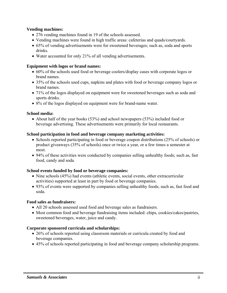### **Vending machines:**

- 276 vending machines found in 19 of the schools assessed.
- Vending machines were found in high traffic areas: cafeterias and quads/courtyards.
- 65% of vending advertisements were for sweetened beverages; such as, soda and sports drinks.
- Water accounted for only 21% of all vending advertisements.

### **Equipment with logos or brand names:**

- 60% of the schools used food or beverage coolers/display cases with corporate logos or brand names.
- 35% of the schools used cups, napkins and plates with food or beverage company logos or brand names.
- 71% of the logos displayed on equipment were for sweetened beverages such as soda and sports drinks.
- 8% of the logos displayed on equipment were for brand-name water.

#### **School media:**

• About half of the year books (53%) and school newspapers (53%) included food or beverage advertising. These advertisements were primarily for local restaurants.

# **School participation in food and beverage company marketing activities:**

- Schools reported participating in food or beverage coupon distributions (25% of schools) or product giveaways (35% of schools) once or twice a year, or a few times a semester at most.
- 94% of these activities were conducted by companies selling unhealthy foods; such as, fast food, candy and soda.

#### **School events funded by food or beverage companies:**

- Nine schools (45%) had events (athletic events, social events, other extracurricular activities) supported at least in part by food or beverage companies.
- 93% of events were supported by companies selling unhealthy foods; such as, fast food and soda.

#### **Food sales as fundraisers:**

- All 20 schools assessed used food and beverage sales as fundraisers.
- Most common food and beverage fundraising items included: chips, cookies/cakes/pastries, sweetened beverages, water, juice and candy.

# **Corporate sponsored curricula and scholarships:**

- 26% of schools reported using classroom materials or curricula created by food and beverage companies.
- 45% of schools reported participating in food and beverage company scholarship programs.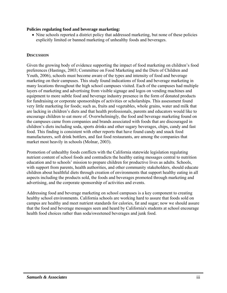#### **Policies regulating food and beverage marketing:**

• Nine schools reported a district policy that addressed marketing, but none of these policies explicitly limited or banned marketing of unhealthy foods and beverages.

#### **DISCUSSION**

Given the growing body of evidence supporting the impact of food marketing on children's food preferences (Hastings, 2003; Committee on Food Marketing and the Diets of Children and Youth, 2006), schools must become aware of the types and intensity of food and beverage marketing on their campuses. This study found indications of food and beverage marketing in many locations throughout the high school campuses visited. Each of the campuses had multiple layers of marketing and advertising from visible signage and logos on vending machines and equipment to more subtle food and beverage industry presence in the form of donated products for fundraising or corporate sponsorships of activities or scholarships. This assessment found very little marketing for foods; such as, fruits and vegetables, whole grains, water and milk that are lacking in children's diets and that health professionals, parents and educators would like to encourage children to eat more of. Overwhelmingly, the food and beverage marketing found on the campuses came from companies and brands associated with foods that are discouraged in children's diets including soda, sports drinks and other sugary beverages, chips, candy and fast food. This finding is consistent with other reports that have found candy and snack food manufacturers, soft drink bottlers, and fast food restaurants, are among the companies that market most heavily in schools (Molnar, 2003).

Promotion of unhealthy foods conflicts with the California statewide legislation regulating nutrient content of school foods and contradicts the healthy eating messages central to nutrition education and to schools' mission to prepare children for productive lives as adults. Schools, with support from parents, health authorities, and other community stakeholders, should educate children about healthful diets through creation of environments that support healthy eating in all aspects including the products sold, the foods and beverages promoted through marketing and advertising, and the corporate sponsorship of activities and events.

Addressing food and beverage marketing on school campuses is a key component to creating healthy school environments. California schools are working hard to assure that foods sold on campus are healthy and meet nutrient standards for calories, fat and sugar; now we should assure that the food and beverage messages seen and heard by California's students at school encourage health food choices rather than soda/sweetened beverages and junk food.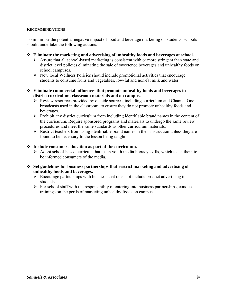#### **RECOMMENDATIONS**

To minimize the potential negative impact of food and beverage marketing on students, schools should undertake the following actions:

- **Eliminate the marketing and advertising of unhealthy foods and beverages at school.** 
	- $\triangleright$  Assure that all school-based marketing is consistent with or more stringent than state and district level policies eliminating the sale of sweetened beverages and unhealthy foods on school campuses.
	- $\triangleright$  New local Wellness Policies should include promotional activities that encourage students to consume fruits and vegetables, low-fat and non-fat milk and water.
- **Eliminate commercial influences that promote unhealthy foods and beverages in district curriculum, classroom materials and on campus.** 
	- $\triangleright$  Review resources provided by outside sources, including curriculum and Channel One broadcasts used in the classroom, to ensure they do not promote unhealthy foods and beverages.
	- $\triangleright$  Prohibit any district curriculum from including identifiable brand names in the content of the curriculum. Require sponsored programs and materials to undergo the same review procedures and meet the same standards as other curriculum materials.
	- $\triangleright$  Restrict teachers from using identifiable brand names in their instruction unless they are found to be necessary to the lesson being taught.

#### **Include consumer education as part of the curriculum.**

- $\triangleright$  Adopt school-based curricula that teach youth media literacy skills, which teach them to be informed consumers of the media.
- **Set guidelines for business partnerships that restrict marketing and advertising of unhealthy foods and beverages.** 
	- $\triangleright$  Encourage partnerships with business that does not include product advertising to students.
	- $\triangleright$  For school staff with the responsibility of entering into business partnerships, conduct trainings on the perils of marketing unhealthy foods on campus*.*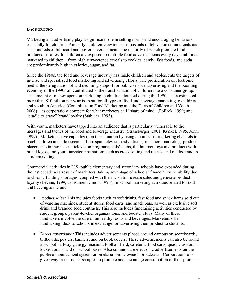#### **BACKGROUND**

Marketing and advertising play a significant role in setting norms and encouraging behaviors, especially for children. Annually, children view tens of thousands of television commercials and see hundreds of billboard and poster advertisements; the majority of which promote food products. As a result, children are exposed to multiple food advertisements every day, and foods marketed to children—from highly sweetened cereals to cookies, candy, fast foods, and soda are predominantly high in calories, sugar, and fat.

Since the 1980s, the food and beverage industry has made children and adolescents the targets of intense and specialized food marketing and advertising efforts. The proliferation of electronic media, the deregulation of and declining support for public service advertising and the booming economy of the 1990s all contributed to the transformation of children into a consumer group. The amount of money spent on marketing to children doubled during the 1990s― an estimated more than \$10 billion per year is spent for all types of food and beverage marketing to children and youth in America (Committee on Food Marketing and the Diets of Children and Youth, 2006)―as corporations compete for what marketers call "share of mind" (Pollack, 1999) and "cradle to grave" brand loyalty (Stabiner, 1993).

With youth, marketers have tapped into an audience that is particularly vulnerable to the messages and tactics of the food and beverage industry (Strassburger, 2001, Kunkel, 1995, John, 1999). Marketers have capitalized on this situation by using a number of marketing channels to reach children and adolescents. These span television advertising, in-school marketing, product placements in movies and television programs, kids' clubs, the Internet, toys and products with brand logos, and youth-targeted promotions such as cross-selling and tie-ins, and outdoor and instore marketing.

Commercial activities in U.S. public elementary and secondary schools have expanded during the last decade as a result of marketers' taking advantage of schools' financial vulnerability due to chronic funding shortages, coupled with their wish to increase sales and generate product loyalty (Levine, 1999, Consumers Union, 1995). In-school marketing activities related to food and beverages include:

- *Product sales:* This includes foods such as soft drinks, fast food and snack items sold out of vending machines, student stores, food carts, and snack bars, as well as exclusive soft drink and branded food contracts. This also includes fundraising activities conducted by student groups, parent-teacher organizations, and booster clubs. Many of these fundraisers involve the sale of unhealthy foods and beverages. Marketers offer fundraising ideas to schools in exchange for advertising their product to students.
- *Direct advertising:* This includes advertisements placed around campus on scoreboards, billboards, posters, banners, and on book covers. These advertisements can also be found in school hallways, the gymnasium, football field, cafeteria, food carts, quad, classroom, locker rooms, and on school buses. Also common are electronic advertisements on the public announcement system or on classroom television broadcasts. Corporations also give away free product samples to promote and encourage consumption of their products.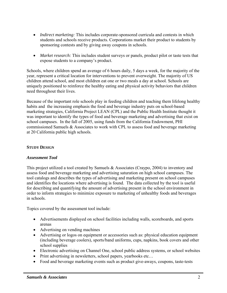- *Indirect marketing:* This includes corporate-sponsored curricula and contests in which students and schools receive products. Corporations market their product to students by sponsoring contests and by giving away coupons in schools.
- *Market research:* This includes student surveys or panels, product pilot or taste tests that expose students to a company's product.

Schools, where children spend an average of 6 hours daily, 5 days a week, for the majority of the year, represent a critical location for interventions to prevent overweight. The majority of US children attend school, and most children eat one or two meals a day at school. Schools are uniquely positioned to reinforce the healthy eating and physical activity behaviors that children need throughout their lives.

Because of the important role schools play in feeding children and teaching them lifelong healthy habits and the increasing emphasis the food and beverage industry puts on school-based marketing strategies, California Project LEAN (CPL) and the Public Health Institute thought it was important to identify the types of food and beverage marketing and advertising that exist on school campuses. In the fall of 2005, using funds from the California Endowment, PHI commissioned Samuels & Associates to work with CPL to assess food and beverage marketing at 20 California public high schools.

### **STUDY DESIGN**

#### *Assessment Tool*

This project utilized a tool created by Samuels & Associates (Craypo, 2004) to inventory and assess food and beverage marketing and advertising saturation on high school campuses. The tool catalogs and describes the types of advertising and marketing present on school campuses and identifies the locations where advertising is found. The data collected by the tool is useful for describing and quantifying the amount of advertising present in the school environment in order to inform strategies to minimize exposure to marketing of unhealthy foods and beverages in schools.

Topics covered by the assessment tool include:

- Advertisements displayed on school facilities including walls, scoreboards, and sports arenas
- Advertising on vending machines
- Advertising or logos on equipment or accessories such as: physical education equipment (including beverage coolers), sports/band uniforms, cups, napkins, book covers and other school supplies
- Electronic advertising on Channel One, school public address systems, or school websites
- Print advertising in newsletters, school papers, yearbooks etc...
- Food and beverage marketing events such as product give-aways, coupons, taste-tests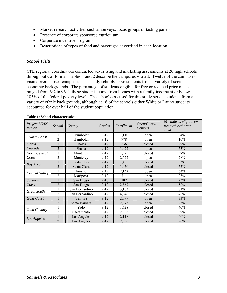- Market research activities such as surveys, focus groups or tasting panels
- Presence of corporate sponsored curriculum
- Corporate incentive programs
- Descriptions of types of food and beverages advertised in each location

# *School Visits*

CPL regional coordinators conducted advertising and marketing assessments at 20 high schools throughout California. Tables 1 and 2 describe the campuses visited. Twelve of the campuses visited were closed campuses. The study schools serve students from a variety of socioeconomic backgrounds. The percentage of students eligible for free or reduced price meals ranged from 6% to 96%; these students come from homes with a family income at or below 185% of the federal poverty level. The schools assessed for this study served students from a variety of ethnic backgrounds, although at 16 of the schools either White or Latino students accounted for over half of the student population.

| <b>Project LEAN</b><br>Region | School         | County         | Grades   | Enrollment | Open/Closed<br>Campus | % students eligible for<br>free/reduced price<br>meals |
|-------------------------------|----------------|----------------|----------|------------|-----------------------|--------------------------------------------------------|
| North Coast                   | 1              | Humboldt       | $9 - 12$ | 1,110      | open                  | 24%                                                    |
|                               | $\overline{2}$ | Humboldt       | $9 - 12$ | 978        | open                  | 10%                                                    |
| Sierra                        |                | Shasta         | $9 - 12$ | 836        | closed                | 29%                                                    |
| Cascade                       | $\overline{2}$ | Shasta         | $9 - 12$ | 1,022      | open                  | 53%                                                    |
| North Central                 | 1              | Monterey       | $9 - 12$ | 1,575      | closed                | 37%                                                    |
| Coast                         | $\overline{2}$ | Monterey       | $9 - 12$ | 2,672      | open                  | 28%                                                    |
|                               |                | Santa Clara    | $9 - 12$ | 1,455      | closed                | 6%                                                     |
| Bay Area                      | $\overline{2}$ | Santa Clara    | $9 - 12$ | 1,050      | closed                | 55%                                                    |
| Central Valley                |                | Fresno         | $9 - 12$ | 2,142      | open                  | 64%                                                    |
|                               | $\overline{2}$ | Mariposa       | $9 - 12$ | 711        | open                  | 23%                                                    |
| Southern                      |                | San Diego      | $9 - 10$ | 187        | closed                | 23%                                                    |
| Coast                         | $\overline{2}$ | San Diego      | $9 - 12$ | 2,867      | closed                | 52%                                                    |
| <b>Great South</b>            |                | San Bernardino | $9 - 12$ | 3,163      | closed                | 81%                                                    |
|                               | $\overline{2}$ | San Bernardino | $9 - 12$ | 4,346      | closed                | 46%                                                    |
| Gold Coast                    |                | Ventura        | $9 - 12$ | 2,099      | open                  | 33%                                                    |
|                               | $\overline{2}$ | Santa Barbara  | $9 - 12$ | 2,373      | open                  | 23%                                                    |
| Gold Country                  |                | Yolo           | $9 - 12$ | 1,628      | closed                | 40%                                                    |
|                               | $\overline{2}$ | Sacramento     | $9 - 12$ | 2,388      | closed                | 39%                                                    |
|                               |                | Los Angeles    | $9 - 12$ | 2,118      | closed                | 40%                                                    |
| Los Angeles                   | $\overline{2}$ | Los Angeles    | $9 - 12$ | 2,556      | closed                | 96%                                                    |

#### **Table 1: School characteristics**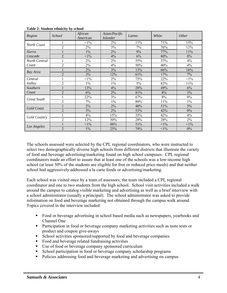| Region             | School         | African<br>American | Asian/Pacific<br><i>Islander</i> | Latino | White  | <i>Other</i> |
|--------------------|----------------|---------------------|----------------------------------|--------|--------|--------------|
| North Coast        |                | $1\%$               | 2%                               | 11%    | 71%    | 15%          |
|                    | $\overline{2}$ | 2%                  | 3%                               | 7%     | 76%    | 12%          |
| Sierra             |                | $1\%$               | 2%                               | 9%     | 77%    | 11%          |
| Cascade            | $\overline{2}$ | $<1\%$              | 4%                               | 6%     | 80%    | $8\%$        |
| North Central      |                | 2%                  | 2%                               | 55%    | 37%    | 4%           |
| Coast              | $\overline{2}$ | $2\%$               | 4%                               | 50%    | 40%    | 4%           |
|                    |                | 2%                  | 3%                               | 13%    | 66%    | 16%          |
| Bay Area           | $\overline{2}$ | 3%                  | 12%                              | 61%    | 17%    | 7%           |
| Central            |                | $1\%$               | $2\%$                            | 75%    | 22%    | $<1\%$       |
| Valley             | $\overline{2}$ | $1\%$               | $1\%$                            | 5%     | 82%    | 11%          |
| Southern           |                | 13%                 | 4%                               | 28%    | 49%    | 6%           |
| Coast              | $\overline{2}$ | 6%                  | 2%                               | 81%    | 8%     | 3%           |
| <b>Great South</b> |                | 22%                 | 3%                               | 67%    | 8%     | $0\%$        |
|                    | $\overline{2}$ | 7%                  | $1\%$                            | 80%    | 11%    | $1\%$        |
| Gold Coast         |                | 2%                  | 2%                               | 40%    | 51%    | 5%           |
|                    | $\overline{c}$ | 3%                  | 2%                               | 53%    | 42%    | $0\%$        |
| Gold Country       |                | 4%                  | 15%                              | 35%    | 42%    | 4%           |
|                    | $\overline{2}$ | 12%                 | 30%                              | 28%    | 28%    | 2%           |
|                    |                | $<1\%$              | 48%                              | 51%    | $<1\%$ | $<1\%$       |
| Los Angeles        | $\overline{2}$ | $1\%$               | 25%                              | 74%    | $<1\%$ | $0\%$        |

**Table 2: Student ethnicity by school** 

The schools assessed were selected by the CPL regional coordinators, who were instructed to select two demographically diverse high schools from different districts that illustrate the variety of food and beverage advertising/marketing found on high school campuses. CPL regional coordinators made an effort to assure that at least one of the schools was a low-income high school (at least 50% of the students are eligible for free or reduced price meals) and that neither school had aggressively addressed a la carte foods or advertising/marketing.

Each school was visited once by a team of assessors; the team included a CPL regional coordinator and one to two students from the high school. School visit activities included a walk around the campus to catalog visible marketing and advertising as well as a brief interview with a school administrator (usually a principal). The school administrator was asked to provide information on food and beverage marketing not obtained through the campus walk around. Topics covered in the interview included:

- Food or beverage advertising in school based media such as newspapers, yearbooks and Channel One
- **Participation in food or beverage company marketing activities such as taste tests or** product and coupon give-aways
- School activities sponsored/supported by food and beverage companies
- Food and beverage related fundraising activities
- Use of food or beverage company sponsored curriculum
- School participation in food or beverage company scholarship programs
- Policies addressing food and beverage marketing and advertising on campus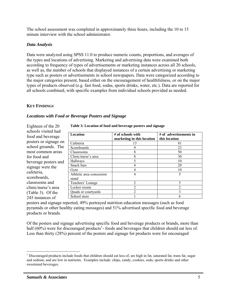The school assessment was completed in approximately three hours, including the 10 to 15 minute interview with the school administrator.

# *Data Analysis*

Data were analyzed using SPSS 11.0 to produce numeric counts, proportions, and averages of the types and locations of advertising. Marketing and advertising data were examined both according to frequency of types of advertisements or marketing instances across all 20 schools, as well as, the number of schools that displayed instances of a certain advertising or marketing type such as posters or advertisements in school newspapers. Data were categorized according to the major categories present, based either on the encouragement of healthfulness, or on the major types of products observed (e.g. fast food, sodas, sports drinks, water, etc.). Data are reported for all schools combined, with specific examples from individual schools provided as needed.

# **KEY FINDINGS**

Eighteen of the  $20$ 

# *Locations with Food or Beverage Posters and Signage*

| $L$ a shekara da ulu $\omega$                |                                   |
|----------------------------------------------|-----------------------------------|
| schools visited had<br>food and beverage     | <b>Location</b>                   |
| posters or signage on<br>school grounds. The | Cafeteria<br>Scoreboards          |
| most common areas                            | Classrooms                        |
| for food and                                 | Clinic/nurse's area               |
| beverage posters and                         | Hallways                          |
| signage were the                             | Snack bars<br>Gym                 |
| cafeteria,<br>scoreboards,                   | Athletic area concession<br>stand |
| classrooms and                               | Teachers' Lounge                  |
| clinic/nurse's area                          | Locker rooms                      |
| (Table 3). Of the                            | Quads or courtyards               |
| 245 instances of                             | School store                      |

**Table 3: Location of food and beverage posters and signage** 

| <b>Location</b>                   | # of schools with<br>marketing in this location | $#$ of advertisements in<br>this location |
|-----------------------------------|-------------------------------------------------|-------------------------------------------|
| Cafeteria                         | 13                                              | 81                                        |
| Scoreboards                       | 9                                               | 23                                        |
| Classrooms                        | 8                                               | 50                                        |
| Clinic/nurse's area               | 8                                               | 30                                        |
| Hallways                          |                                                 | 10                                        |
| Snack bars                        |                                                 | 20                                        |
| Gym                               |                                                 | 10                                        |
| Athletic area concession<br>stand | 4                                               | 5                                         |
| Teachers' Lounge                  | 2                                               | 5                                         |
| Locker rooms                      |                                                 | ∍                                         |
| Quads or courtyards               |                                                 | 3                                         |
| School store                      |                                                 | h                                         |

posters and signage reported, 49% portrayed nutrition education messages (such as food pyramids or other healthy eating messages) and 51% advertised specific food and beverage products or brands.

Of the posters and signage advertising specific food and beverage products or brands, more than half (60%) were for discouraged products<sup>1</sup>-foods and beverages that children should eat less of. Less than thirty (28%) percent of the posters and signage for products were for encouraged

 $\overline{a}$ 

<sup>&</sup>lt;sup>1</sup> Discouraged products include foods that children should eat less of, are high in fat, saturated fat, trans fat, sugar and sodium, and are low in nutrients. Examples include: chips, candy, cookies, soda, sports drinks and other sweetened beverages.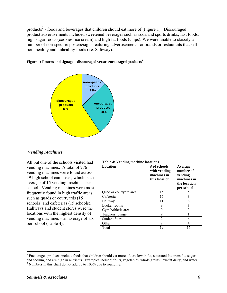products<sup>2</sup> - foods and beverages that children should eat more of (Figure 1). Discouraged product advertisements included sweetened beverages such as soda and sports drinks, fast foods, high sugar foods (cookies, ice cream) and high fat foods (chips). We were unable to classify a number of non-specific posters/signs featuring advertisements for brands or restaurants that sell both healthy and unhealthy foods (i.e. Safeway).





#### *Vending Machines*

All but one of the schools visited had vending machines. A total of 276 vending machines were found across 19 high school campuses, which is an average of 15 vending machines per school. Vending machines were most frequently found in high traffic areas such as quads or courtyards (15 schools) and cafeterias (15 schools). Hallways and student stores were the locations with the highest density of vending machines – an average of six per school (Table 4).

**Table 4: Vending machine locations** 

| Location               | # of schools<br>with vending<br>machines in<br>this location | Average<br>number of<br>vending<br>machines in<br>the location<br>per school |
|------------------------|--------------------------------------------------------------|------------------------------------------------------------------------------|
| Quad or courtyard area | 15                                                           |                                                                              |
| Cafeteria              | 15                                                           |                                                                              |
| Hallway                | 11                                                           |                                                                              |
| Locker rooms           | 9                                                            |                                                                              |
| Gym/Athletic area      | 9                                                            | 3                                                                            |
| Teachers lounge        | 9                                                            |                                                                              |
| <b>Student Store</b>   | $\mathfrak{D}$                                               |                                                                              |
| Other                  |                                                              |                                                                              |
| Total                  | 19                                                           | 15                                                                           |

 $\overline{a}$ 

 $2^{2}$  Encouraged products include foods that children should eat more of, are low in fat, saturated fat, trans fat, sugar and sodium, and are high in nutrients. Examples include; fruits, vegetables, whole grains, low-fat dairy, and water.  $3$  Numbers in this chart do not add up to  $100\%$  due to rounding.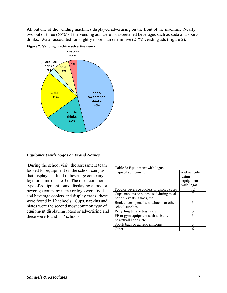All but one of the vending machines displayed advertising on the front of the machine. Nearly two out of three (65%) of the vending ads were for sweetened beverages such as soda and sports drinks. Water accounted for slightly more than one in five (21%) vending ads (Figure 2).



#### **Figure 2: Vending machine advertisements**

#### *Equipment with Logos or Brand Names*

 During the school visit, the assessment team looked for equipment on the school campus that displayed a food or beverage company logo or name (Table 5). The most common type of equipment found displaying a food or beverage company name or logo were food and beverage coolers and display cases; these were found in 12 schools. Cups, napkins and plates were the second most common type of equipment displaying logos or advertising and these were found in 7 schools.

| таріе э; едиіршені міні logos             |              |
|-------------------------------------------|--------------|
| <b>Type of equipment</b>                  | # of schools |
|                                           | using        |
|                                           | equipment    |
|                                           | with logos   |
| Food or beverage coolers or display cases | 12           |
| Cups, napkins or plates used during meal  |              |
| period, events, games, etc                |              |
| Book covers, pencils, notebooks or other  | 3            |
| school supplies                           |              |
| Recycling bins or trash cans              | 3            |
| PE or gym equipment such as balls,        | 3            |
| basketball hoops, etc                     |              |
| Sports bags or athletic uniforms          | 3            |
| )ther                                     |              |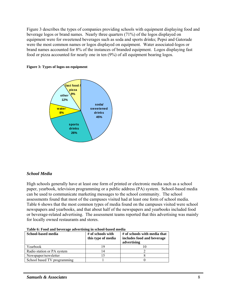Figure 3 describes the types of companies providing schools with equipment displaying food and beverage logos or brand names. Nearly three quarters (71%) of the logos displayed on equipment were for sweetened beverages such as soda and sports drinks; Pepsi and Gatorade were the most common names or logos displayed on equipment. Water associated-logos or brand names accounted for 8% of the instances of branded equipment. Logos displaying fast food or pizza accounted for nearly one in ten (9%) of all equipment bearing logos.





# *School Media*

High schools generally have at least one form of printed or electronic media such as a school paper, yearbook, television programming or a public address (PA) system. School-based media can be used to communicate marketing messages to the school community. The school assessments found that most of the campuses visited had at least one form of school media. Table 6 shows that the most common types of media found on the campuses visited were school newspapers and yearbooks, and that about half of the newspapers and yearbooks included food or beverage-related advertising. The assessment teams reported that this advertising was mainly for locally owned restaurants and stores.

| School-based media          | # of schools with  | # of schools with media that |
|-----------------------------|--------------------|------------------------------|
|                             | this type of media | includes food and beverage   |
|                             |                    | advertising                  |
| Yearbook                    |                    |                              |
| Radio station or PA system  |                    |                              |
| Newspaper/newsletter        |                    |                              |
| School based TV programming |                    |                              |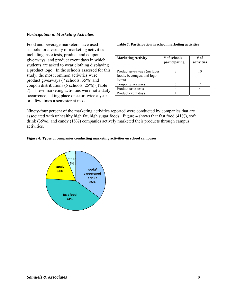# *Participation in Marketing Activities*

Food and beverage marketers have used schools for a variety of marketing activities including taste tests, product and coupon giveaways, and product event days in which students are asked to wear clothing displaying a product logo. In the schools assessed for this study, the most common activities were product giveaways (7 schools, 35%) and coupon distributions (5 schools, 25%) (Table 7). These marketing activities were not a daily occurrence, taking place once or twice a year or a few times a semester at most.

| Table 7: Participation in school marketing activities               |                               |                    |
|---------------------------------------------------------------------|-------------------------------|--------------------|
| <b>Marketing Activity</b>                                           | # of schools<br>participating | # of<br>activities |
| Product giveaways (includes<br>foods, beverages, and logo<br>items) |                               |                    |
| Coupon giveaways                                                    |                               |                    |
| Product taste-tests                                                 |                               |                    |
| Product event days                                                  |                               |                    |

Ninety-four percent of the marketing activities reported were conducted by companies that are associated with unhealthy high fat, high sugar foods. Figure 4 shows that fast food (41%), soft drink (35%), and candy (18%) companies actively marketed their products through campus activities.



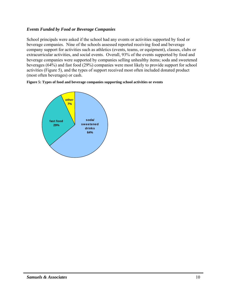# *Events Funded by Food or Beverage Companies*

School principals were asked if the school had any events or activities supported by food or beverage companies. Nine of the schools assessed reported receiving food and beverage company support for activities such as athletics (events, teams, or equipment), classes, clubs or extracurricular activities, and social events. Overall, 93% of the events supported by food and beverage companies were supported by companies selling unhealthy items; soda and sweetened beverages (64%) and fast food (29%) companies were most likely to provide support for school activities (Figure 5), and the types of support received most often included donated product (most often beverages) or cash.



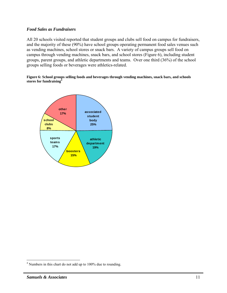### *Food Sales as Fundraisers*

All 20 schools visited reported that student groups and clubs sell food on campus for fundraisers, and the majority of these (90%) have school groups operating permanent food sales venues such as vending machines, school stores or snack bars. A variety of campus groups sell food on campus through vending machines, snack bars, and school stores (Figure 6), including student groups, parent groups, and athletic departments and teams. Over one third (36%) of the school groups selling foods or beverages were athletics-related.

#### **Figure 6: School groups selling foods and beverages through vending machines, snack bars, and schools stores for fundraising<sup>4</sup>**



 $\overline{a}$ 

<sup>&</sup>lt;sup>4</sup> Numbers in this chart do not add up to 100% due to rounding.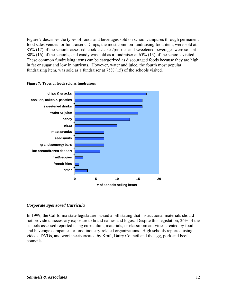Figure 7 describes the types of foods and beverages sold on school campuses through permanent food sales venues for fundraisers. Chips, the most common fundraising food item, were sold at 85% (17) of the schools assessed, cookies/cakes/pastries and sweetened beverages were sold at 80% (16) of the schools, and candy was sold as a fundraiser at 65% (13) of the schools visited. These common fundraising items can be categorized as discouraged foods because they are high in fat or sugar and low in nutrients. However, water and juice, the fourth most popular fundraising item, was sold as a fundraiser at 75% (15) of the schools visited.





#### *Corporate Sponsored Curricula*

In 1999, the California state legislature passed a bill stating that instructional materials should not provide unnecessary exposure to brand names and logos. Despite this legislation, 26% of the schools assessed reported using curriculum, materials, or classroom activities created by food and beverage companies or food industry-related organizations. High schools reported using videos, DVDs, and worksheets created by Kraft, Dairy Council and the egg, pork and beef councils.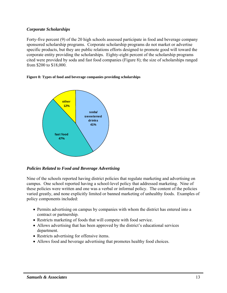# *Corporate Scholarships*

Forty-five percent (9) of the 20 high schools assessed participate in food and beverage company sponsored scholarship programs. Corporate scholarship programs do not market or advertise specific products, but they are public relations efforts designed to promote good will toward the corporate entity providing the scholarships. Eighty-eight percent of the scholarship programs cited were provided by soda and fast food companies (Figure 8); the size of scholarships ranged from \$200 to \$18,000.

**Figure 8: Types of food and beverage companies providing scholarships** 



 *Policies Related to Food and Beverage Advertising* 

Nine of the schools reported having district policies that regulate marketing and advertising on campus. One school reported having a school-level policy that addressed marketing. Nine of these policies were written and one was a verbal or informal policy. The content of the policies varied greatly, and none explicitly limited or banned marketing of unhealthy foods. Examples of policy components included:

- Permits advertising on campus by companies with whom the district has entered into a contract or partnership.
- Restricts marketing of foods that will compete with food service.
- Allows advertising that has been approved by the district's educational services department.
- Restricts advertising for offensive items.
- Allows food and beverage advertising that promotes healthy food choices.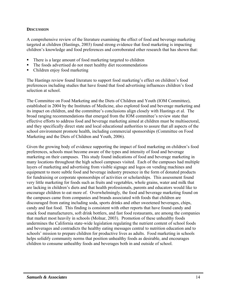# **DISCUSSION**

A comprehensive review of the literature examining the effect of food and beverage marketing targeted at children (Hastings, 2003) found strong evidence that food marketing is impacting children's knowledge and food preferences and corroborated other research that has shown that:

- There is a large amount of food marketing targeted to children
- The foods advertised do not meet healthy diet recommendations
- Children enjoy food marketing

The Hastings review found literature to support food marketing's effect on children's food preferences including studies that have found that food advertising influences children's food selection at school.

The Committee on Food Marketing and the Diets of Children and Youth (IOM Committee), established in 2004 by the Institutes of Medicine, also explored food and beverage marketing and its impact on children, and the committee's conclusions align closely with Hastings et al. The broad ranging recommendations that emerged from the IOM committee's review state that effective efforts to address food and beverage marketing aimed at children must be multisectoral, and they specifically direct state and local educational authorities to assure that all aspects of the school environment promote health, including commercial sponsorships (Committee on Food Marketing and the Diets of Children and Youth, 2006).

Given the growing body of evidence supporting the impact of food marketing on children's food preferences, schools must become aware of the types and intensity of food and beverage marketing on their campuses. This study found indications of food and beverage marketing in many locations throughout the high school campuses visited. Each of the campuses had multiple layers of marketing and advertising from visible signage and logos on vending machines and equipment to more subtle food and beverage industry presence in the form of donated products for fundraising or corporate sponsorships of activities or scholarships. This assessment found very little marketing for foods such as fruits and vegetables, whole grains, water and milk that are lacking in children's diets and that health professionals, parents and educators would like to encourage children to eat more of. Overwhelmingly, the food and beverage marketing found on the campuses came from companies and brands associated with foods that children are discouraged from eating including soda, sports drinks and other sweetened beverages, chips, candy and fast food. This finding is consistent with other reports that have found candy and snack food manufacturers, soft drink bottlers, and fast food restaurants, are among the companies that market most heavily in schools (Molnar, 2003). Promotion of these unhealthy foods undermines the California state-wide legislation regulating the nutrient content of school foods and beverages and contradicts the healthy eating messages central to nutrition education and to schools' mission to prepare children for productive lives as adults. Food marketing in schools helps solidify community norms that position unhealthy foods as desirable, and encourages children to consume unhealthy foods and beverages both in and outside of school.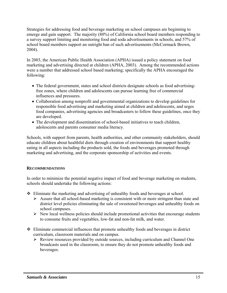Strategies for addressing food and beverage marketing on school campuses are beginning to emerge and gain support. The majority (80%) of California school board members responding to a survey support limiting and monitoring food and soda advertisements in schools, and 57% of school board members support an outright ban of such advertisements (McCormack Brown, 2004).

In 2003, the American Public Health Association (APHA) issued a policy statement on food marketing and advertising directed at children (APHA, 2003). Among the recommended actions were a number that addressed school based marketing; specifically the APHA encouraged the following:

- The federal government, states and school districts designate schools as food advertisingfree zones, where children and adolescents can pursue learning free of commercial influences and pressures.
- Collaboration among nonprofit and governmental organizations to develop guidelines for responsible food advertising and marketing aimed at children and adolescents, and urges food companies, advertising agencies and broadcasters to follow these guidelines, once they are developed.
- The development and dissemination of school-based initiatives to teach children, adolescents and parents consumer media literacy.

Schools, with support from parents, health authorities, and other community stakeholders, should educate children about healthful diets through creation of environments that support healthy eating in all aspects including the products sold, the foods and beverages promoted through marketing and advertising, and the corporate sponsorship of activities and events.

# **RECOMMENDATIONS**

In order to minimize the potential negative impact of food and beverage marketing on students, schools should undertake the following actions:

- Eliminate the marketing and advertising of unhealthy foods and beverages at school.
	- $\triangleright$  Assure that all school-based marketing is consistent with or more stringent than state and district level policies eliminating the sale of sweetened beverages and unhealthy foods on school campuses.
	- $\triangleright$  New local wellness policies should include promotional activities that encourage students to consume fruits and vegetables, low-fat and non-fat milk, and water.
- $\div$  Eliminate commercial influences that promote unhealthy foods and beverages in district curriculum, classroom materials and on campus.
	- $\triangleright$  Review resources provided by outside sources, including curriculum and Channel One broadcasts used in the classroom, to ensure they do not promote unhealthy foods and beverages.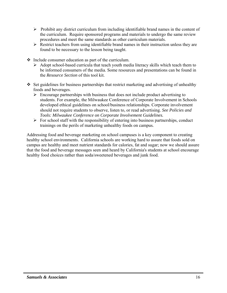- $\triangleright$  Prohibit any district curriculum from including identifiable brand names in the content of the curriculum. Require sponsored programs and materials to undergo the same review procedures and meet the same standards as other curriculum materials.
- $\triangleright$  Restrict teachers from using identifiable brand names in their instruction unless they are found to be necessary to the lesson being taught.
- $\triangle$  Include consumer education as part of the curriculum.
	- $\triangleright$  Adopt school-based curricula that teach youth media literacy skills which teach them to be informed consumers of the media. Some resources and presentations can be found in the *Resource Section* of this tool kit.
- $\div$  Set guidelines for business partnerships that restrict marketing and advertising of unhealthy foods and beverages.
	- $\triangleright$  Encourage partnerships with business that does not include product advertising to students. For example, the Milwaukee Conference of Corporate Involvement in Schools developed ethical guidelines on school/business relationships. Corporate involvement should not require students to observe, listen to, or read advertising. *See Policies and Tools: Milwaukee Conference on Corporate Involvement Guidelines.*
	- $\triangleright$  For school staff with the responsibility of entering into business partnerships, conduct trainings on the perils of marketing unhealthy foods on campus*.*

Addressing food and beverage marketing on school campuses is a key component to creating healthy school environments. California schools are working hard to assure that foods sold on campus are healthy and meet nutrient standards for calories, fat and sugar; now we should assure that the food and beverage messages seen and heard by California's students at school encourage healthy food choices rather than soda/sweetened beverages and junk food.